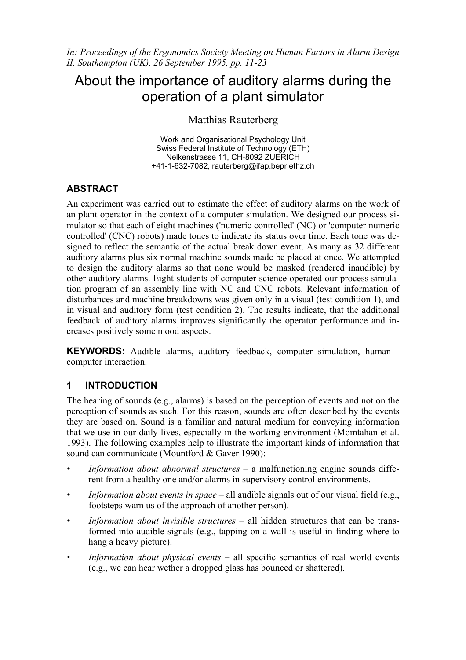# About the importance of auditory alarms during the operation of a plant simulator

Matthias Rauterberg

Work and Organisational Psychology Unit Swiss Federal Institute of Technology (ETH) Nelkenstrasse 11, CH-8092 ZUERICH +41-1-632-7082, rauterberg@ifap.bepr.ethz.ch

# **ABSTRACT**

An experiment was carried out to estimate the effect of auditory alarms on the work of an plant operator in the context of a computer simulation. We designed our process simulator so that each of eight machines ('numeric controlled' (NC) or 'computer numeric controlled' (CNC) robots) made tones to indicate its status over time. Each tone was designed to reflect the semantic of the actual break down event. As many as 32 different auditory alarms plus six normal machine sounds made be placed at once. We attempted to design the auditory alarms so that none would be masked (rendered inaudible) by other auditory alarms. Eight students of computer science operated our process simulation program of an assembly line with NC and CNC robots. Relevant information of disturbances and machine breakdowns was given only in a visual (test condition 1), and in visual and auditory form (test condition 2). The results indicate, that the additional feedback of auditory alarms improves significantly the operator performance and increases positively some mood aspects.

**KEYWORDS:** Audible alarms, auditory feedback, computer simulation, human computer interaction.

# **1 INTRODUCTION**

The hearing of sounds (e.g., alarms) is based on the perception of events and not on the perception of sounds as such. For this reason, sounds are often described by the events they are based on. Sound is a familiar and natural medium for conveying information that we use in our daily lives, especially in the working environment (Momtahan et al. 1993). The following examples help to illustrate the important kinds of information that sound can communicate (Mountford & Gaver 1990):

- *Information about abnormal structures* a malfunctioning engine sounds different from a healthy one and/or alarms in supervisory control environments.
- *Information about events in space* all audible signals out of our visual field (e.g., footsteps warn us of the approach of another person).
- *Information about invisible structures* all hidden structures that can be transformed into audible signals (e.g., tapping on a wall is useful in finding where to hang a heavy picture).
- *Information about physical events* all specific semantics of real world events (e.g., we can hear wether a dropped glass has bounced or shattered).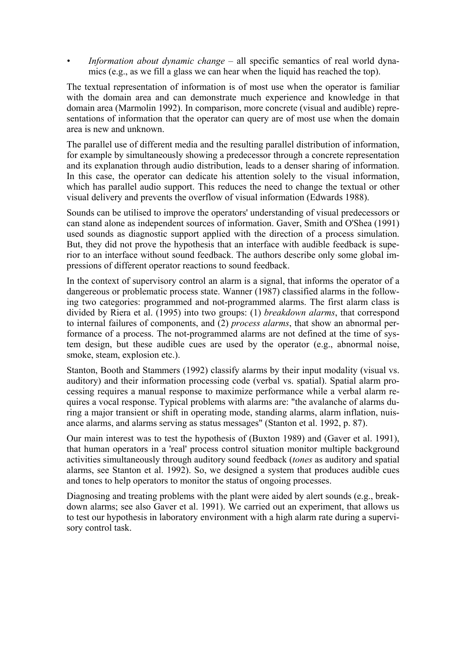*• Information about dynamic change* – all specific semantics of real world dynamics (e.g., as we fill a glass we can hear when the liquid has reached the top).

The textual representation of information is of most use when the operator is familiar with the domain area and can demonstrate much experience and knowledge in that domain area (Marmolin 1992). In comparison, more concrete (visual and audible) representations of information that the operator can query are of most use when the domain area is new and unknown.

The parallel use of different media and the resulting parallel distribution of information, for example by simultaneously showing a predecessor through a concrete representation and its explanation through audio distribution, leads to a denser sharing of information. In this case, the operator can dedicate his attention solely to the visual information, which has parallel audio support. This reduces the need to change the textual or other visual delivery and prevents the overflow of visual information (Edwards 1988).

Sounds can be utilised to improve the operators' understanding of visual predecessors or can stand alone as independent sources of information. Gaver, Smith and O'Shea (1991) used sounds as diagnostic support applied with the direction of a process simulation. But, they did not prove the hypothesis that an interface with audible feedback is superior to an interface without sound feedback. The authors describe only some global impressions of different operator reactions to sound feedback.

In the context of supervisory control an alarm is a signal, that informs the operator of a dangereous or problematic process state. Wanner (1987) classified alarms in the following two categories: programmed and not-programmed alarms. The first alarm class is divided by Riera et al. (1995) into two groups: (1) *breakdown alarms*, that correspond to internal failures of components, and (2) *process alarms*, that show an abnormal performance of a process. The not-programmed alarms are not defined at the time of system design, but these audible cues are used by the operator (e.g., abnormal noise, smoke, steam, explosion etc.).

Stanton, Booth and Stammers (1992) classify alarms by their input modality (visual vs. auditory) and their information processing code (verbal vs. spatial). Spatial alarm processing requires a manual response to maximize performance while a verbal alarm requires a vocal response. Typical problems with alarms are: "the avalanche of alarms during a major transient or shift in operating mode, standing alarms, alarm inflation, nuisance alarms, and alarms serving as status messages" (Stanton et al. 1992, p. 87).

Our main interest was to test the hypothesis of (Buxton 1989) and (Gaver et al. 1991), that human operators in a 'real' process control situation monitor multiple background activities simultaneously through auditory sound feedback (*tones* as auditory and spatial alarms, see Stanton et al. 1992). So, we designed a system that produces audible cues and tones to help operators to monitor the status of ongoing processes.

Diagnosing and treating problems with the plant were aided by alert sounds (e.g., breakdown alarms; see also Gaver et al. 1991). We carried out an experiment, that allows us to test our hypothesis in laboratory environment with a high alarm rate during a supervisory control task.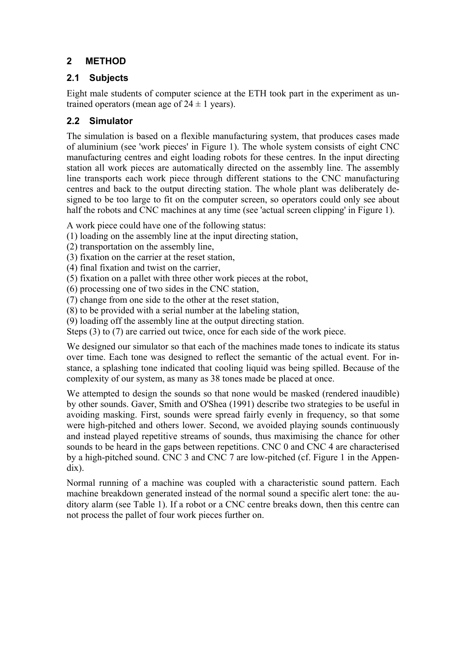## **2 METHOD**

#### **2.1 Subjects**

Eight male students of computer science at the ETH took part in the experiment as untrained operators (mean age of  $24 \pm 1$  years).

#### **2.2 Simulator**

The simulation is based on a flexible manufacturing system, that produces cases made of aluminium (see 'work pieces' in Figure 1). The whole system consists of eight CNC manufacturing centres and eight loading robots for these centres. In the input directing station all work pieces are automatically directed on the assembly line. The assembly line transports each work piece through different stations to the CNC manufacturing centres and back to the output directing station. The whole plant was deliberately designed to be too large to fit on the computer screen, so operators could only see about half the robots and CNC machines at any time (see 'actual screen clipping' in Figure 1).

A work piece could have one of the following status:

- (1) loading on the assembly line at the input directing station,
- (2) transportation on the assembly line,
- (3) fixation on the carrier at the reset station,
- (4) final fixation and twist on the carrier,
- (5) fixation on a pallet with three other work pieces at the robot,
- (6) processing one of two sides in the CNC station,
- (7) change from one side to the other at the reset station,
- (8) to be provided with a serial number at the labeling station,
- (9) loading off the assembly line at the output directing station.

Steps (3) to (7) are carried out twice, once for each side of the work piece.

We designed our simulator so that each of the machines made tones to indicate its status over time. Each tone was designed to reflect the semantic of the actual event. For instance, a splashing tone indicated that cooling liquid was being spilled. Because of the complexity of our system, as many as 38 tones made be placed at once.

We attempted to design the sounds so that none would be masked (rendered inaudible) by other sounds. Gaver, Smith and O'Shea (1991) describe two strategies to be useful in avoiding masking. First, sounds were spread fairly evenly in frequency, so that some were high-pitched and others lower. Second, we avoided playing sounds continuously and instead played repetitive streams of sounds, thus maximising the chance for other sounds to be heard in the gaps between repetitions. CNC 0 and CNC 4 are characterised by a high-pitched sound. CNC 3 and CNC 7 are low-pitched (cf. Figure 1 in the Appendix).

Normal running of a machine was coupled with a characteristic sound pattern. Each machine breakdown generated instead of the normal sound a specific alert tone: the auditory alarm (see Table 1). If a robot or a CNC centre breaks down, then this centre can not process the pallet of four work pieces further on.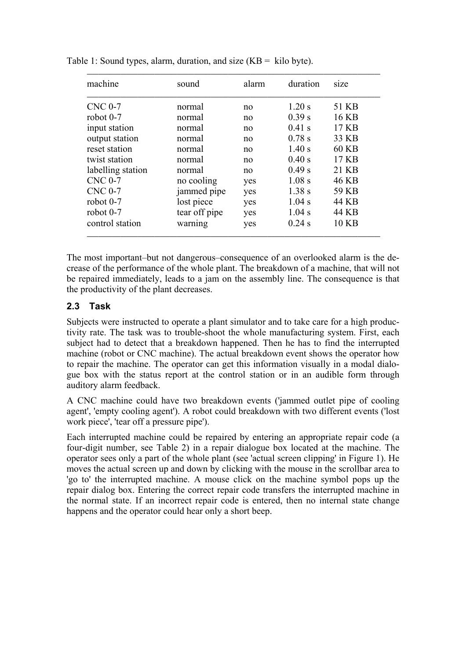| machine           | sound         | alarm | duration | s <sub>1</sub> ze |
|-------------------|---------------|-------|----------|-------------------|
| <b>CNC 0-7</b>    | normal        | no    | $1.20$ s | 51 KB             |
| robot $0-7$       | normal        | no    | 0.39 s   | 16 KB             |
| input station     | normal        | no    | $0.41$ s | 17 KB             |
| output station    | normal        | no    | $0.78$ s | 33 KB             |
| reset station     | normal        | no    | 1.40 s   | 60 KB             |
| twist station     | normal        | no    | 0.40 s   | 17 KB             |
| labelling station | normal        | no    | 0.49 s   | 21 KB             |
| <b>CNC 0-7</b>    | no cooling    | yes   | 1.08 s   | 46 KB             |
| $CNC0-7$          | jammed pipe   | yes   | 1.38 s   | 59 KB             |
| robot $0-7$       | lost piece    | yes   | $1.04$ s | 44 KB             |
| robot $0-7$       | tear off pipe | yes   | $1.04$ s | 44 KB             |
| control station   | warning       | yes   | $0.24$ s | 10 KB             |

Table 1: Sound types, alarm, duration, and size  $(KB =$  kilo byte).

The most important–but not dangerous–consequence of an overlooked alarm is the decrease of the performance of the whole plant. The breakdown of a machine, that will not be repaired immediately, leads to a jam on the assembly line. The consequence is that the productivity of the plant decreases.

#### **2.3 Task**

Subjects were instructed to operate a plant simulator and to take care for a high productivity rate. The task was to trouble-shoot the whole manufacturing system. First, each subject had to detect that a breakdown happened. Then he has to find the interrupted machine (robot or CNC machine). The actual breakdown event shows the operator how to repair the machine. The operator can get this information visually in a modal dialogue box with the status report at the control station or in an audible form through auditory alarm feedback.

A CNC machine could have two breakdown events ('jammed outlet pipe of cooling agent', 'empty cooling agent'). A robot could breakdown with two different events ('lost work piece', 'tear off a pressure pipe').

Each interrupted machine could be repaired by entering an appropriate repair code (a four-digit number, see Table 2) in a repair dialogue box located at the machine. The operator sees only a part of the whole plant (see 'actual screen clipping' in Figure 1). He moves the actual screen up and down by clicking with the mouse in the scrollbar area to 'go to' the interrupted machine. A mouse click on the machine symbol pops up the repair dialog box. Entering the correct repair code transfers the interrupted machine in the normal state. If an incorrect repair code is entered, then no internal state change happens and the operator could hear only a short beep.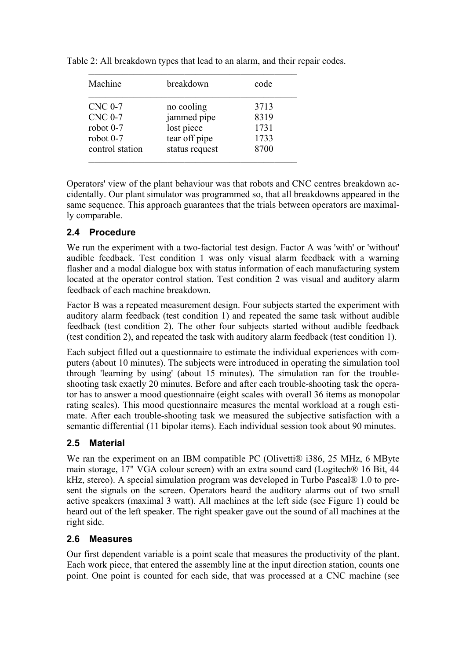| Machine         | breakdown      | code |
|-----------------|----------------|------|
| <b>CNC 0-7</b>  | no cooling     | 3713 |
| <b>CNC 0-7</b>  | jammed pipe    | 8319 |
| robot $0-7$     | lost piece     | 1731 |
| robot $0-7$     | tear off pipe  | 1733 |
| control station | status request | 8700 |

Table 2: All breakdown types that lead to an alarm, and their repair codes.

Operators' view of the plant behaviour was that robots and CNC centres breakdown accidentally. Our plant simulator was programmed so, that all breakdowns appeared in the same sequence. This approach guarantees that the trials between operators are maximally comparable.

## **2.4 Procedure**

We run the experiment with a two-factorial test design. Factor A was 'with' or 'without' audible feedback. Test condition 1 was only visual alarm feedback with a warning flasher and a modal dialogue box with status information of each manufacturing system located at the operator control station. Test condition 2 was visual and auditory alarm feedback of each machine breakdown.

Factor B was a repeated measurement design. Four subjects started the experiment with auditory alarm feedback (test condition 1) and repeated the same task without audible feedback (test condition 2). The other four subjects started without audible feedback (test condition 2), and repeated the task with auditory alarm feedback (test condition 1).

Each subject filled out a questionnaire to estimate the individual experiences with computers (about 10 minutes). The subjects were introduced in operating the simulation tool through 'learning by using' (about 15 minutes). The simulation ran for the troubleshooting task exactly 20 minutes. Before and after each trouble-shooting task the operator has to answer a mood questionnaire (eight scales with overall 36 items as monopolar rating scales). This mood questionnaire measures the mental workload at a rough estimate. After each trouble-shooting task we measured the subjective satisfaction with a semantic differential (11 bipolar items). Each individual session took about 90 minutes.

# **2.5 Material**

We ran the experiment on an IBM compatible PC (Olivetti® i386, 25 MHz, 6 MByte main storage, 17" VGA colour screen) with an extra sound card (Logitech® 16 Bit, 44 kHz, stereo). A special simulation program was developed in Turbo Pascal® 1.0 to present the signals on the screen. Operators heard the auditory alarms out of two small active speakers (maximal 3 watt). All machines at the left side (see Figure 1) could be heard out of the left speaker. The right speaker gave out the sound of all machines at the right side.

# **2.6 Measures**

Our first dependent variable is a point scale that measures the productivity of the plant. Each work piece, that entered the assembly line at the input direction station, counts one point. One point is counted for each side, that was processed at a CNC machine (see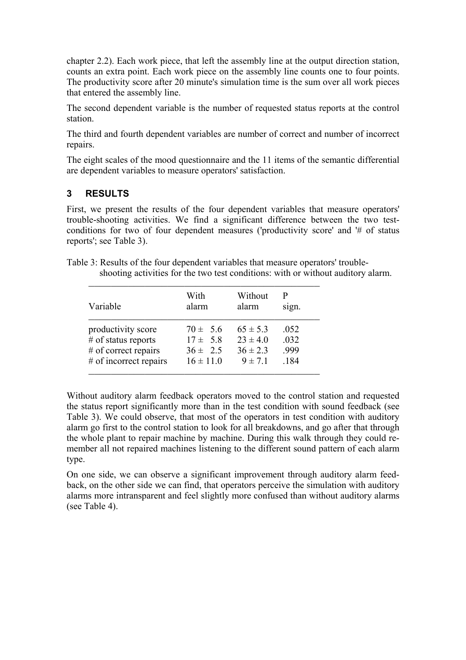chapter 2.2). Each work piece, that left the assembly line at the output direction station, counts an extra point. Each work piece on the assembly line counts one to four points. The productivity score after 20 minute's simulation time is the sum over all work pieces that entered the assembly line.

The second dependent variable is the number of requested status reports at the control station.

The third and fourth dependent variables are number of correct and number of incorrect repairs.

The eight scales of the mood questionnaire and the 11 items of the semantic differential are dependent variables to measure operators' satisfaction.

## **3 RESULTS**

First, we present the results of the four dependent variables that measure operators' trouble-shooting activities. We find a significant difference between the two testconditions for two of four dependent measures ('productivity score' and '# of status reports'; see Table 3).

| Variable                 | With<br>alarm | Without<br>alarm | P<br>sign. |
|--------------------------|---------------|------------------|------------|
| productivity score       | $70 \pm 56$   | $65 \pm 5.3$     | .052       |
| # of status reports      | $17 \pm 5.8$  | $23 \pm 4.0$     | .032       |
| # of correct repairs     | $36 \pm 2.5$  | $36 \pm 2.3$     | .999       |
| $#$ of incorrect repairs | $16 \pm 11.0$ | $9 \pm 7.1$      | .184       |

Table 3: Results of the four dependent variables that measure operators' troubleshooting activities for the two test conditions: with or without auditory alarm.

Without auditory alarm feedback operators moved to the control station and requested the status report significantly more than in the test condition with sound feedback (see Table 3). We could observe, that most of the operators in test condition with auditory alarm go first to the control station to look for all breakdowns, and go after that through the whole plant to repair machine by machine. During this walk through they could remember all not repaired machines listening to the different sound pattern of each alarm type.

On one side, we can observe a significant improvement through auditory alarm feedback, on the other side we can find, that operators perceive the simulation with auditory alarms more intransparent and feel slightly more confused than without auditory alarms (see Table 4).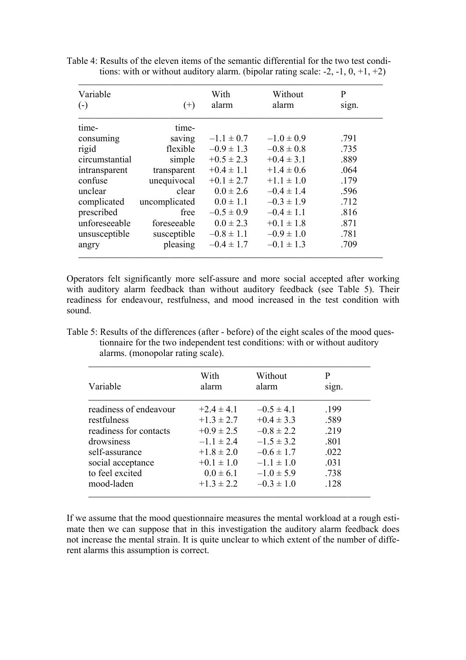| Variable<br>$\left( -\right)$ | $^{(+)}$      | With<br>alarm  | Without<br>alarm | $\mathbf{P}$<br>sign. |
|-------------------------------|---------------|----------------|------------------|-----------------------|
| time-                         | time-         |                |                  |                       |
| consuming                     | saving        | $-1.1 \pm 0.7$ | $-1.0 \pm 0.9$   | .791                  |
| rigid                         | flexible      | $-0.9 \pm 1.3$ | $-0.8 \pm 0.8$   | .735                  |
| circumstantial                | simple        | $+0.5 \pm 2.3$ | $+0.4 \pm 3.1$   | .889                  |
| intransparent                 | transparent   | $+0.4 \pm 1.1$ | $+1.4 \pm 0.6$   | .064                  |
| confuse                       | unequivocal   | $+0.1 \pm 2.7$ | $+1.1 \pm 1.0$   | .179                  |
| unclear                       | clear         | $0.0 \pm 2.6$  | $-0.4 \pm 1.4$   | .596                  |
| complicated                   | uncomplicated | $0.0 \pm 1.1$  | $-0.3 \pm 1.9$   | .712                  |
| prescribed                    | free          | $-0.5 \pm 0.9$ | $-0.4 \pm 1.1$   | .816                  |
| unforeseeable                 | foreseeable   | $0.0 \pm 2.3$  | $+0.1 \pm 1.8$   | .871                  |
| unsusceptible                 | susceptible   | $-0.8 \pm 1.1$ | $-0.9 \pm 1.0$   | .781                  |
| angry                         | pleasing      | $-0.4 \pm 1.7$ | $-0.1 \pm 1.3$   | .709                  |

Table 4: Results of the eleven items of the semantic differential for the two test conditions: with or without auditory alarm. (bipolar rating scale:  $-2$ ,  $-1$ ,  $0$ ,  $+1$ ,  $+2$ )

Operators felt significantly more self-assure and more social accepted after working with auditory alarm feedback than without auditory feedback (see Table 5). Their readiness for endeavour, restfulness, and mood increased in the test condition with sound.

Table 5: Results of the differences (after - before) of the eight scales of the mood questionnaire for the two independent test conditions: with or without auditory alarms. (monopolar rating scale).

| Variable               | With<br>alarm  | Without<br>alarm | P<br>sign. |
|------------------------|----------------|------------------|------------|
| readiness of endeavour | $+2.4 \pm 4.1$ | $-0.5 \pm 4.1$   | .199       |
| restfulness            | $+1.3 \pm 2.7$ | $+0.4 \pm 3.3$   | .589       |
| readiness for contacts | $+0.9 \pm 2.5$ | $-0.8 \pm 2.2$   | .219       |
| drowsiness             | $-1.1 \pm 2.4$ | $-1.5 \pm 3.2$   | .801       |
| self-assurance         | $+1.8 \pm 2.0$ | $-0.6 \pm 1.7$   | .022       |
| social acceptance      | $+0.1 \pm 1.0$ | $-1.1 \pm 1.0$   | .031       |
| to feel excited        | $0.0 \pm 6.1$  | $-1.0 \pm 5.9$   | .738       |
| mood-laden             | $+1.3 \pm 2.2$ | $-0.3 \pm 1.0$   | .128       |

If we assume that the mood questionnaire measures the mental workload at a rough estimate then we can suppose that in this investigation the auditory alarm feedback does not increase the mental strain. It is quite unclear to which extent of the number of different alarms this assumption is correct.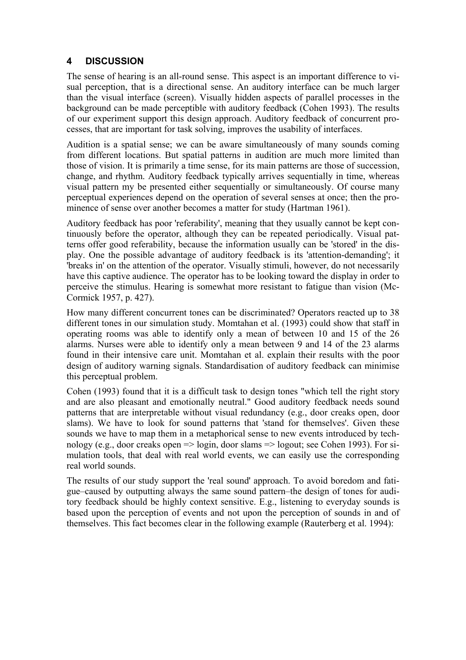#### **4 DISCUSSION**

The sense of hearing is an all-round sense. This aspect is an important difference to visual perception, that is a directional sense. An auditory interface can be much larger than the visual interface (screen). Visually hidden aspects of parallel processes in the background can be made perceptible with auditory feedback (Cohen 1993). The results of our experiment support this design approach. Auditory feedback of concurrent processes, that are important for task solving, improves the usability of interfaces.

Audition is a spatial sense; we can be aware simultaneously of many sounds coming from different locations. But spatial patterns in audition are much more limited than those of vision. It is primarily a time sense, for its main patterns are those of succession, change, and rhythm. Auditory feedback typically arrives sequentially in time, whereas visual pattern my be presented either sequentially or simultaneously. Of course many perceptual experiences depend on the operation of several senses at once; then the prominence of sense over another becomes a matter for study (Hartman 1961).

Auditory feedback has poor 'referability', meaning that they usually cannot be kept continuously before the operator, although they can be repeated periodically. Visual patterns offer good referability, because the information usually can be 'stored' in the display. One the possible advantage of auditory feedback is its 'attention-demanding'; it 'breaks in' on the attention of the operator. Visually stimuli, however, do not necessarily have this captive audience. The operator has to be looking toward the display in order to perceive the stimulus. Hearing is somewhat more resistant to fatigue than vision (Mc-Cormick 1957, p. 427).

How many different concurrent tones can be discriminated? Operators reacted up to 38 different tones in our simulation study. Momtahan et al. (1993) could show that staff in operating rooms was able to identify only a mean of between 10 and 15 of the 26 alarms. Nurses were able to identify only a mean between 9 and 14 of the 23 alarms found in their intensive care unit. Momtahan et al. explain their results with the poor design of auditory warning signals. Standardisation of auditory feedback can minimise this perceptual problem.

Cohen (1993) found that it is a difficult task to design tones "which tell the right story and are also pleasant and emotionally neutral." Good auditory feedback needs sound patterns that are interpretable without visual redundancy (e.g., door creaks open, door slams). We have to look for sound patterns that 'stand for themselves'. Given these sounds we have to map them in a metaphorical sense to new events introduced by technology (e.g., door creaks open  $\Rightarrow$  login, door slams  $\Rightarrow$  logout; see Cohen 1993). For simulation tools, that deal with real world events, we can easily use the corresponding real world sounds.

The results of our study support the 'real sound' approach. To avoid boredom and fatigue–caused by outputting always the same sound pattern–the design of tones for auditory feedback should be highly context sensitive. E.g., listening to everyday sounds is based upon the perception of events and not upon the perception of sounds in and of themselves. This fact becomes clear in the following example (Rauterberg et al. 1994):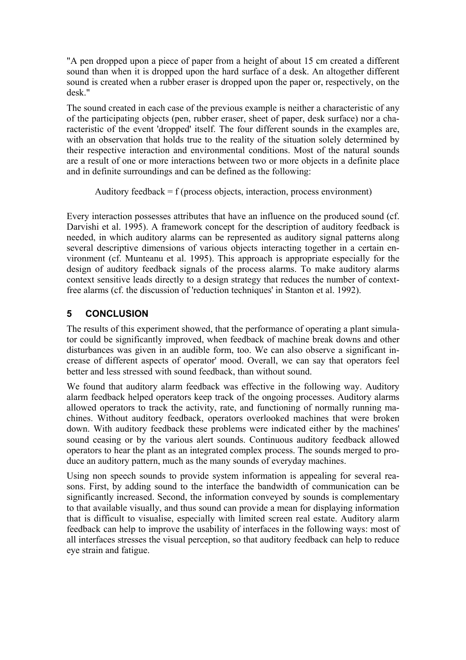"A pen dropped upon a piece of paper from a height of about 15 cm created a different sound than when it is dropped upon the hard surface of a desk. An altogether different sound is created when a rubber eraser is dropped upon the paper or, respectively, on the desk."

The sound created in each case of the previous example is neither a characteristic of any of the participating objects (pen, rubber eraser, sheet of paper, desk surface) nor a characteristic of the event 'dropped' itself. The four different sounds in the examples are, with an observation that holds true to the reality of the situation solely determined by their respective interaction and environmental conditions. Most of the natural sounds are a result of one or more interactions between two or more objects in a definite place and in definite surroundings and can be defined as the following:

Auditory feedback  $= f$  (process objects, interaction, process environment)

Every interaction possesses attributes that have an influence on the produced sound (cf. Darvishi et al. 1995). A framework concept for the description of auditory feedback is needed, in which auditory alarms can be represented as auditory signal patterns along several descriptive dimensions of various objects interacting together in a certain environment (cf. Munteanu et al. 1995). This approach is appropriate especially for the design of auditory feedback signals of the process alarms. To make auditory alarms context sensitive leads directly to a design strategy that reduces the number of contextfree alarms (cf. the discussion of 'reduction techniques' in Stanton et al. 1992).

## **5 CONCLUSION**

The results of this experiment showed, that the performance of operating a plant simulator could be significantly improved, when feedback of machine break downs and other disturbances was given in an audible form, too. We can also observe a significant increase of different aspects of operator' mood. Overall, we can say that operators feel better and less stressed with sound feedback, than without sound.

We found that auditory alarm feedback was effective in the following way. Auditory alarm feedback helped operators keep track of the ongoing processes. Auditory alarms allowed operators to track the activity, rate, and functioning of normally running machines. Without auditory feedback, operators overlooked machines that were broken down. With auditory feedback these problems were indicated either by the machines' sound ceasing or by the various alert sounds. Continuous auditory feedback allowed operators to hear the plant as an integrated complex process. The sounds merged to produce an auditory pattern, much as the many sounds of everyday machines.

Using non speech sounds to provide system information is appealing for several reasons. First, by adding sound to the interface the bandwidth of communication can be significantly increased. Second, the information conveyed by sounds is complementary to that available visually, and thus sound can provide a mean for displaying information that is difficult to visualise, especially with limited screen real estate. Auditory alarm feedback can help to improve the usability of interfaces in the following ways: most of all interfaces stresses the visual perception, so that auditory feedback can help to reduce eye strain and fatigue.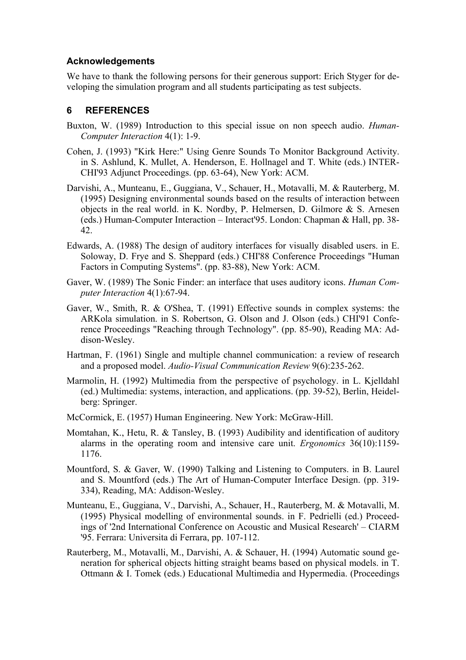#### **Acknowledgements**

We have to thank the following persons for their generous support: Erich Styger for developing the simulation program and all students participating as test subjects.

#### **6 REFERENCES**

- Buxton, W. (1989) Introduction to this special issue on non speech audio. *Human-Computer Interaction* 4(1): 1-9.
- Cohen, J. (1993) "Kirk Here:" Using Genre Sounds To Monitor Background Activity. in S. Ashlund, K. Mullet, A. Henderson, E. Hollnagel and T. White (eds.) INTER-CHI'93 Adjunct Proceedings. (pp. 63-64), New York: ACM.
- Darvishi, A., Munteanu, E., Guggiana, V., Schauer, H., Motavalli, M. & Rauterberg, M. (1995) Designing environmental sounds based on the results of interaction between objects in the real world. in K. Nordby, P. Helmersen, D. Gilmore & S. Arnesen (eds.) Human-Computer Interaction – Interact'95. London: Chapman & Hall, pp. 38- 42.
- Edwards, A. (1988) The design of auditory interfaces for visually disabled users. in E. Soloway, D. Frye and S. Sheppard (eds.) CHI'88 Conference Proceedings "Human Factors in Computing Systems". (pp. 83-88), New York: ACM.
- Gaver, W. (1989) The Sonic Finder: an interface that uses auditory icons. *Human Computer Interaction* 4(1):67-94.
- Gaver, W., Smith, R. & O'Shea, T. (1991) Effective sounds in complex systems: the ARKola simulation. in S. Robertson, G. Olson and J. Olson (eds.) CHI'91 Conference Proceedings "Reaching through Technology". (pp. 85-90), Reading MA: Addison-Wesley.
- Hartman, F. (1961) Single and multiple channel communication: a review of research and a proposed model. *Audio-Visual Communication Review* 9(6):235-262.
- Marmolin, H. (1992) Multimedia from the perspective of psychology. in L. Kjelldahl (ed.) Multimedia: systems, interaction, and applications. (pp. 39-52), Berlin, Heidelberg: Springer.
- McCormick, E. (1957) Human Engineering. New York: McGraw-Hill.
- Momtahan, K., Hetu, R. & Tansley, B. (1993) Audibility and identification of auditory alarms in the operating room and intensive care unit. *Ergonomics* 36(10):1159- 1176.
- Mountford, S. & Gaver, W. (1990) Talking and Listening to Computers. in B. Laurel and S. Mountford (eds.) The Art of Human-Computer Interface Design. (pp. 319- 334), Reading, MA: Addison-Wesley.
- Munteanu, E., Guggiana, V., Darvishi, A., Schauer, H., Rauterberg, M. & Motavalli, M. (1995) Physical modelling of environmental sounds. in F. Pedrielli (ed.) Proceedings of '2nd International Conference on Acoustic and Musical Research' – CIARM '95. Ferrara: Universita di Ferrara, pp. 107-112.
- Rauterberg, M., Motavalli, M., Darvishi, A. & Schauer, H. (1994) Automatic sound generation for spherical objects hitting straight beams based on physical models. in T. Ottmann & I. Tomek (eds.) Educational Multimedia and Hypermedia. (Proceedings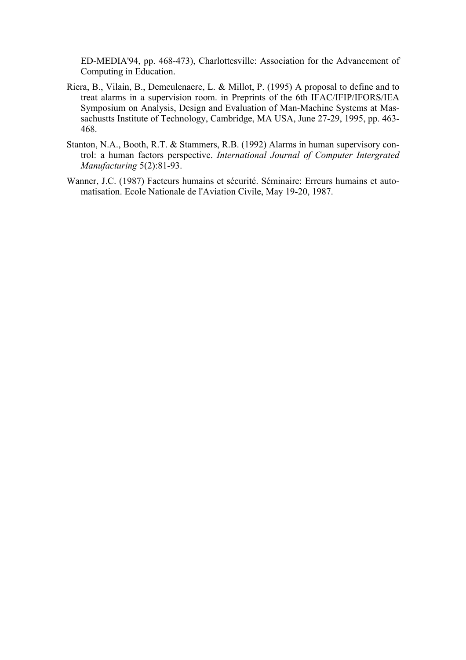ED-MEDIA'94, pp. 468-473), Charlottesville: Association for the Advancement of Computing in Education.

- Riera, B., Vilain, B., Demeulenaere, L. & Millot, P. (1995) A proposal to define and to treat alarms in a supervision room. in Preprints of the 6th IFAC/IFIP/IFORS/IEA Symposium on Analysis, Design and Evaluation of Man-Machine Systems at Massachustts Institute of Technology, Cambridge, MA USA, June 27-29, 1995, pp. 463- 468.
- Stanton, N.A., Booth, R.T. & Stammers, R.B. (1992) Alarms in human supervisory control: a human factors perspective. *International Journal of Computer Intergrated Manufacturing* 5(2):81-93.
- Wanner, J.C. (1987) Facteurs humains et sécurité. Séminaire: Erreurs humains et automatisation. Ecole Nationale de l'Aviation Civile, May 19-20, 1987.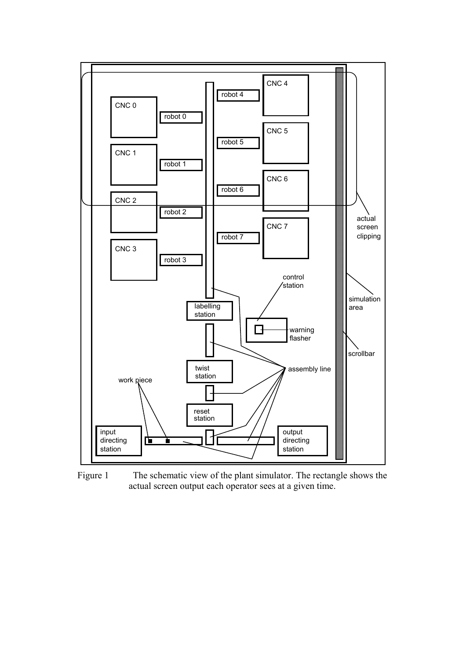

Figure 1 The schematic view of the plant simulator. The rectangle shows the actual screen output each operator sees at a given time.